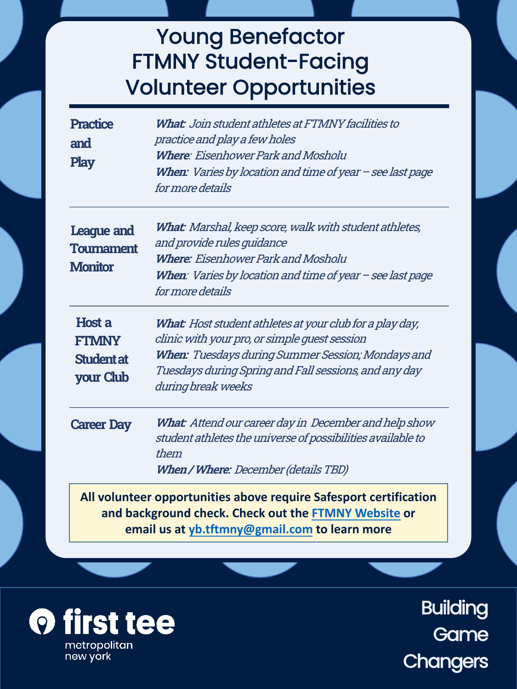## Young Benefactor FTMNY Student-Facing Volunteer Opportunities

| <b>Practice</b><br>and<br><b>Play</b>                                                                                                                                      | <b>What:</b> Join student athletes at FTMNY facilities to<br>practice and play a few holes<br>Where: Eisenhower Park and Mosholu<br>When: Varies by location and time of year - see last page<br>for more details                             |  |  |
|----------------------------------------------------------------------------------------------------------------------------------------------------------------------------|-----------------------------------------------------------------------------------------------------------------------------------------------------------------------------------------------------------------------------------------------|--|--|
| League and<br><b>Tournament</b><br><b>Monitor</b>                                                                                                                          | What: Marshal, keep score, walk with student athletes,<br>and provide rules quidance<br><b>Where:</b> Eisenhower Park and Mosholu<br>When: Varies by location and time of year - see last page<br>for more details                            |  |  |
| <b>Host a</b><br><b>FTMNY</b><br><b>Student at</b><br>your Club                                                                                                            | What: Host student athletes at your club for a play day,<br>clinic with your pro, or simple quest session<br>When: Tuesdays during Summer Session; Mondays and<br>Tuesdays during Spring and Fall sessions, and any day<br>during break weeks |  |  |
| <b>Career Day</b>                                                                                                                                                          | What: Attend our career day in December and help show<br>student athletes the universe of possibilities available to<br>them<br>When / Where: December (details TBD)                                                                          |  |  |
| All volunteer opportunities above require Safesport certification<br>and background check. Check out the FTMNY Website or<br>email us at yb.tftmny@gmail.com to learn more |                                                                                                                                                                                                                                               |  |  |

**O** first tee metropolitan

new york

**Building Game Changers**